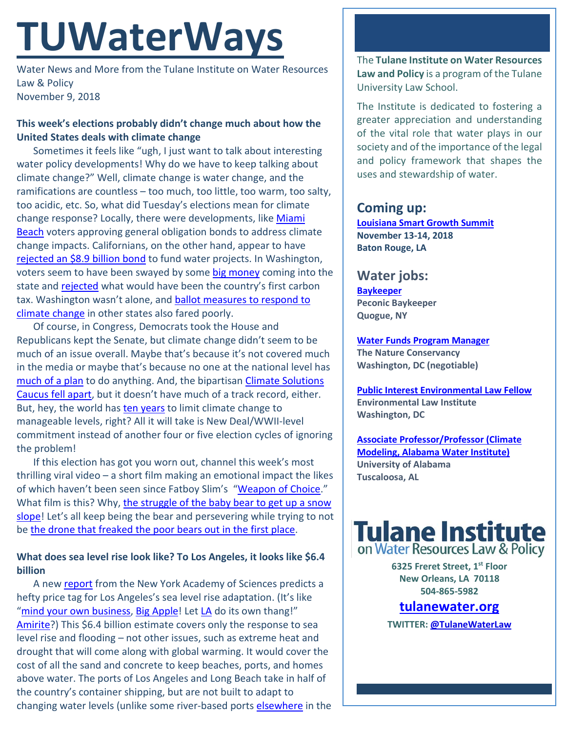# **TUWaterWays**

Water News and More from the Tulane Institute on Water Resources Law & Policy November 9, 2018

#### **This week's elections probably didn't change much about how the United States deals with climate change**

Sometimes it feels like "ugh, I just want to talk about interesting water policy developments! Why do we have to keep talking about climate change?" Well, climate change is water change, and the ramifications are countless – too much, too little, too warm, too salty, too acidic, etc. So, what did Tuesday's elections mean for climate change response? Locally, there were developments, like Miami **[Beach](https://www.miamiherald.com/news/local/community/miami-dade/miami-beach/article220636660.html)** voters approving general obligation bonds to address climate change impacts. Californians, on the other hand, appear to have [rejected an \\$8.9 billion bond](https://www.sfchronicle.com/politics/article/Prop-3-state-measure-to-fund-water-13369512.php) to fund water projects. In Washington, voters seem to have been swayed by some [big money](https://www.pdc.wa.gov/browse/campaign-explorer/committee?filer_id=NO1631%20507&election_year=2018) coming into the state and [rejected](https://www.theatlantic.com/science/archive/2018/11/washington-state-votes-down-i-1631-major-climate-bill/575131/) what would have been the country's first carbon tax. Washington wasn't alone, and ballot measures to respond to [climate change](https://www.washingtonpost.com/energy-environment/2018/11/07/ballot-measures-taking-aim-climate-change-fall-short/?utm_term=.edbf880e21e8) in other states also fared poorly.

Of course, in Congress, Democrats took the House and Republicans kept the Senate, but climate change didn't seem to be much of an issue overall. Maybe that's because it's not covered much in the media or maybe that's because no one at the national level has [much of a plan](https://splinternews.com/democrats-already-promising-to-do-virtually-nothing-on-1829815409) to do anything. And, the bipartisan Climate Solutions [Caucus fell apart,](https://earther.gizmodo.com/congress-bipartisan-coalition-to-tackle-climate-change-1830279498) but it doesn't have much of a track record, either. But, hey, the world has [ten years](https://report.ipcc.ch/sr15/pdf/sr15_spm_final.pdf) to limit climate change to manageable levels, right? All it will take is New Deal/WWII-level commitment instead of another four or five election cycles of ignoring the problem!

If this election has got you worn out, channel this week's most thrilling viral video – a short film making an emotional impact the likes of which haven't been seen since Fatboy Slim's ["Weapon of Choice.](https://www.youtube.com/watch?v=XQ7z57qrZU8)" What film is this? Why, [the struggle of the baby bear to get up a](https://www.dailymail.co.uk/news/article-6354223/Baby-bears-EPIC-struggle-climb-snowy-mountain-mother-captivates-millions.html) snow [slope!](https://www.dailymail.co.uk/news/article-6354223/Baby-bears-EPIC-struggle-climb-snowy-mountain-mother-captivates-millions.html) Let's all keep being the bear and persevering while trying to not be [the drone that freaked the poor bears out in the first place.](https://www.theatlantic.com/science/archive/2018/11/problematic-viral-video-persistent-baby-bear/574990/)

#### **What does sea level rise look like? To Los Angeles, it looks like \$6.4 billion**

A new [report](https://nyaspubs.onlinelibrary.wiley.com/doi/10.1111/nyas.13917) from the New York Academy of Sciences predicts a hefty price tag for Los Angeles's sea level rise adaptation. (It's like ["mind your own business,](https://www.youtube.com/watch?v=3D3KUnqsDAk) [Big Apple!](https://www.google.com/search?ei=2U7kW9LrD6fBjgTf9o3QDA&q=reality+tv+shows+set+in+new+york) Let [LA](https://www.google.com/search?q=los+angeles+reality+shows) do its own thang!" [Amirite?](https://www.dictionary.com/e/slang/amirite/)) This \$6.4 billion estimate covers only the response to sea level rise and flooding – not other issues, such as extreme heat and drought that will come along with global warming. It would cover the cost of all the sand and concrete to keep beaches, ports, and homes above water. The ports of Los Angeles and Long Beach take in half of the country's container shipping, but are not built to adapt to changing water levels (unlike some river-based ports [elsewhere](https://www.portnola.com/) in the The **Tulane Institute on Water Resources Law and Policy** is a program of the Tulane University Law School.

The Institute is dedicated to fostering a greater appreciation and understanding of the vital role that water plays in our society and of the importance of the legal and policy framework that shapes the uses and stewardship of water.

# **Coming up:**

**[Louisiana Smart Growth Summit](https://summit.cpex.org/) November 13-14, 2018 Baton Rouge, LA**

## **Water jobs:**

**[Baykeeper](https://peconicbaykeeper.org/about-us/employment/) Peconic Baykeeper Quogue, NY**

**[Water Funds Program Manager](https://careers.nature.org/psp/tnccareers/APPLICANT/APPL/c/HRS_HRAM.HRS_APP_SCHJOB.GBL?Page=HRS_APP_JBPST&Action=U&FOCUS=Applicant&SiteId=1&JobOpeningId=46910&PostingSeq=1) The Nature Conservancy Washington, DC (negotiable)**

**[Public Interest Environmental Law Fellow](https://workforcenow.adp.com/mascsr/default/mdf/recruitment/recruitment.html?cid=82bc5b12-ae17-4634-b907-3b62f1097668&jobId=257986&lang=en_US&source=CC3&ccId=19000101_000001&selectedMenuKey=CurrentOpenings) Environmental Law Institute Washington, DC**

**[Associate Professor/Professor \(Climate](https://www.joshswaterjobs.com/jobs/10748)  [Modeling, Alabama Water Institute\)](https://www.joshswaterjobs.com/jobs/10748) University of Alabama Tuscaloosa, AL**



**6325 Freret Street, 1st Floor New Orleans, LA 70118 504-865-5982** 

### **tulanewater.org**

**TWITTER[: @TulaneWaterLaw](http://www.twitter.com/TulaneWaterLaw)**